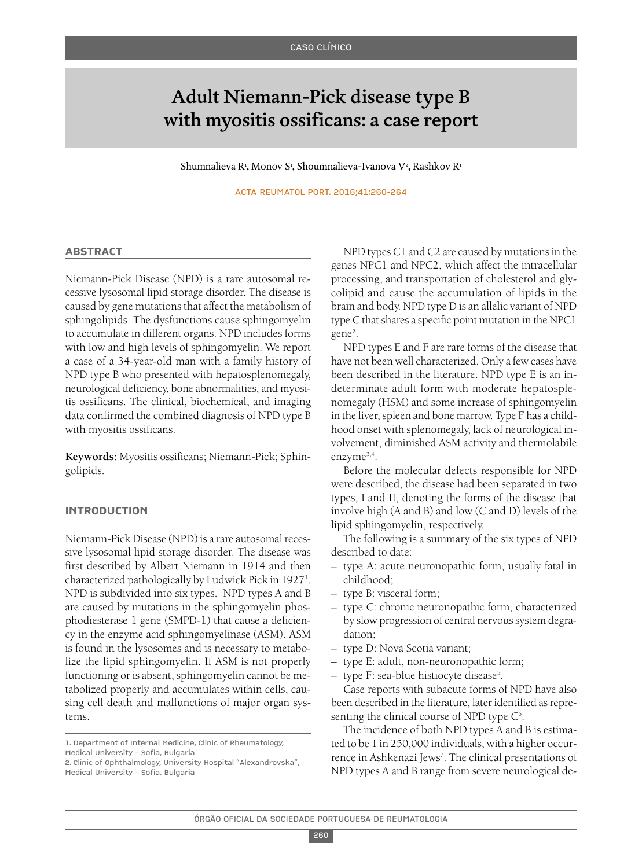# Adult Niemann-Pick disease type B with myositis ossificans: a case report

Shumnalieva R<sup>1</sup>, Monov S<sup>1</sup>, Shoumnalieva-Ivanova V<sup>2</sup>, Rashkov R<sup>1</sup>

ACTA REUMATOL PORT. 2016;41:260-264

# **AbstrAct**

Niemann-Pick Disease (NPD) is a rare autosomal recessive lysosomal lipid storage disorder. The disease is caused by gene mutations that affect the metabolism of sphingolipids. The dysfunctions cause sphingomyelin to accumulate in different organs. NPD includes forms with low and high levels of sphingomyelin. We report a case of a 34-year-old man with a family history of NPD type B who presented with hepatosplenomegaly, neurological deficiency, bone abnormalities, and myositis ossificans. The clinical, biochemical, and imaging data confirmed the combined diagnosis of NPD type B with myositis ossificans.

**Keywords:** Myositis ossificans; Niemann-Pick; Sphingolipids.

# **IntroductIon**

Niemann-Pick Disease (NPD) is a rare autosomal recessive lysosomal lipid storage disorder. The disease was first described by Albert Niemann in 1914 and then characterized pathologically by Ludwick Pick in 1927<sup>1</sup>. NPD is subdivided into six types. NPD types A and B are caused by mutations in the sphingomyelin phosphodiesterase 1 gene (SMPD-1) that cause a deficiency in the enzyme acid sphingomyelinase (ASM). ASM is found in the lysosomes and is necessary to metabolize the lipid sphingomyelin. If ASM is not properly functioning or is absent, sphingomyelin cannot be metabolized properly and accumulates within cells, causing cell death and malfunctions of major organ systems.

NPD types C1 and C2 are caused by mutations in the genes NPC1 and NPC2, which affect the intracellular processing, and transportation of cholesterol and glycolipid and cause the accumulation of lipids in the brain and body. NPD type D is an allelic variant of NPD type C that shares a specific point mutation in the NPC1 gene<sup>2</sup>.

NPD types E and F are rare forms of the disease that have not been well characterized. Only a few cases have been described in the literature. NPD type E is an indeterminate adult form with moderate hepatosplenomegaly (HSM) and some increase of sphingomyelin in the liver, spleen and bone marrow. Type F has a childhood onset with splenomegaly, lack of neurological involvement, diminished ASM activity and thermolabile enzyme<sup>3,4</sup>.

Before the molecular defects responsible for NPD were described, the disease had been separated in two types, I and II, denoting the forms of the disease that involve high (A and B) and low (C and D) levels of the lipid sphingomyelin, respectively.

The following is a summary of the six types of NPD described to date:

- type A: acute neuronopathic form, usually fatal in childhood;
- type B: visceral form;
- type C: chronic neuronopathic form, characterized by slow progression of central nervous system degradation;
- type D: Nova Scotia variant;
- type E: adult, non-neuronopathic form;
- type F: sea-blue histiocyte disease<sup>5</sup>.

Case reports with subacute forms of NPD have also been described in the literature, later identified as representing the clinical course of NPD type  $C^6$ .

The incidence of both NPD types A and B is estimated to be 1 in 250,000 individuals, with a higher occurrence in Ashkenazi Jews<sup>7</sup>. The clinical presentations of NPD types A and B range from severe neurological de-

<sup>1.</sup> Department of Internal Medicine, Clinic of Rheumatology, Medical University – Sofia, Bulgaria

<sup>2.</sup> Clinic of Ophthalmology, University Hospital "Alexandrovska", Medical University – Sofia, Bulgaria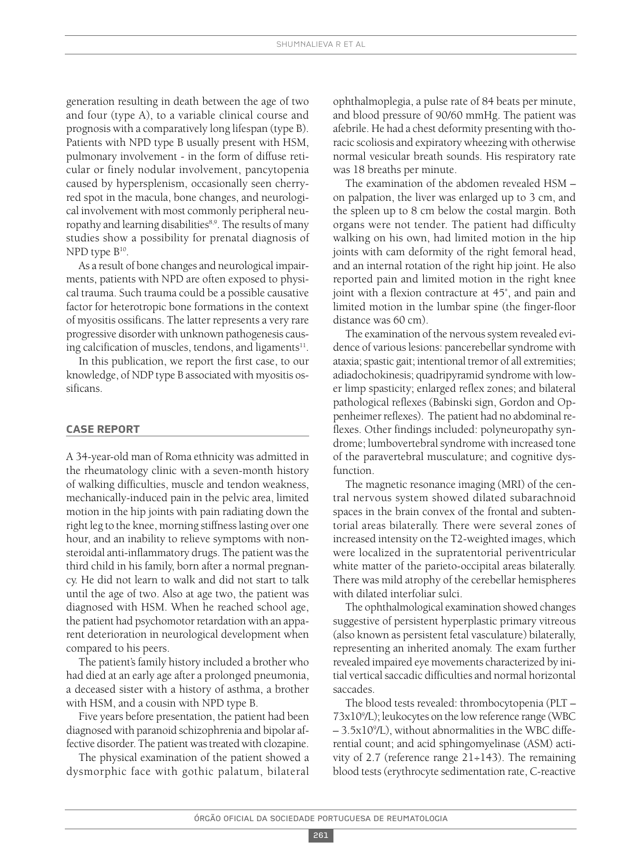generation resulting in death between the age of two and four (type A), to a variable clinical course and prognosis with a comparatively long lifespan (type B). Patients with NPD type B usually present with HSM, pulmonary involvement - in the form of diffuse reticular or finely nodular involvement, pancytopenia caused by hypersplenism, occasionally seen cherryred spot in the macula, bone changes, and neurological involvement with most commonly peripheral neuropathy and learning disabilities<sup>8,9</sup>. The results of many studies show a possibility for prenatal diagnosis of NPD type B<sup>10</sup>.

As a result of bone changes and neurological impairments, patients with NPD are often exposed to physical trauma. Such trauma could be a possible causative factor for heterotropic bone formations in the context of myositis ossificans. The latter represents a very rare progressive disorder with unknown pathogenesis causing calcification of muscles, tendons, and ligaments $^{\rm 11}.$ 

In this publication, we report the first case, to our knowledge, of NDP type B associated with myositis ossificans.

# **cAse report**

A 34-year-old man of Roma ethnicity was admitted in the rheumatology clinic with a seven-month history of walking difficulties, muscle and tendon weakness, mechanically-induced pain in the pelvic area, limited motion in the hip joints with pain radiating down the right leg to the knee, morning stiffnesslasting over one hour, and an inability to relieve symptoms with nonsteroidal anti-inflammatory drugs. The patient was the third child in his family, born after a normal pregnancy. He did not learn to walk and did not start to talk until the age of two. Also at age two, the patient was diagnosed with HSM. When he reached school age, the patient had psychomotor retardation with an apparent deterioration in neurological development when compared to his peers.

The patient's family history included a brother who had died at an early age after a prolonged pneumonia, a deceased sister with a history of asthma, a brother with HSM, and a cousin with NPD type B.

Five years before presentation, the patient had been diagnosed with paranoid schizophrenia and bipolar affective disorder. The patient was treated with clozapine.

The physical examination of the patient showed a dysmorphic face with gothic palatum, bilateral

ophthalmoplegia, a pulse rate of 84 beats per minute, and blood pressure of 90/60 mmHg. The patient was afebrile. He had a chest deformity presenting with thoracic scoliosis and expiratory wheezing with otherwise normal vesicular breath sounds. His respiratory rate was 18 breaths per minute.

The examination of the abdomen revealed HSM – on palpation, the liver was enlarged up to 3 cm, and the spleen up to 8 cm below the costal margin. Both organs were not tender. The patient had difficulty walking on his own, had limited motion in the hip joints with cam deformity of the right femoral head, and an internal rotation of the right hip joint. He also reported pain and limited motion in the right knee joint with a flexion contracture at 45˚, and pain and limited motion in the lumbar spine (the finger-floor distance was 60 cm).

The examination of the nervous system revealed evidence of various lesions: pancerebellar syndrome with ataxia; spastic gait; intentional tremor of all extremities; adiadochokinesis; quadripyramid syndrome with lower limp spasticity; enlarged reflex zones; and bilateral pathological reflexes (Babinski sign, Gordon and Oppenheimer reflexes). The patient had no abdominal reflexes. Other findings included: polyneuropathy syndrome; lumbovertebral syndrome with increased tone of the paravertebral musculature; and cognitive dysfunction.

The magnetic resonance imaging (MRI) of the central nervous system showed dilated subarachnoid spaces in the brain convex of the frontal and subtentorial areas bilaterally. There were several zones of increased intensity on the T2-weighted images, which were localized in the supratentorial periventricular white matter of the parieto-occipital areas bilaterally. There was mild atrophy of the cerebellar hemispheres with dilated interfoliar sulci.

The ophthalmological examination showed changes suggestive of persistent hyperplastic primary vitreous (also known as persistent fetal vasculature) bilaterally, representing an inherited anomaly. The exam further revealed impaired eye movements characterized by initial vertical saccadic difficulties and normal horizontal saccades.

The blood tests revealed: thrombocytopenia (PLT – 73x109 /L); leukocytes on the low reference range (WBC – 3.5x109 /L), without abnormalities in the WBC differential count; and acid sphingomyelinase (ASM) activity of 2.7 (reference range 21÷143). The remaining blood tests (erythrocyte sedimentation rate, C-reactive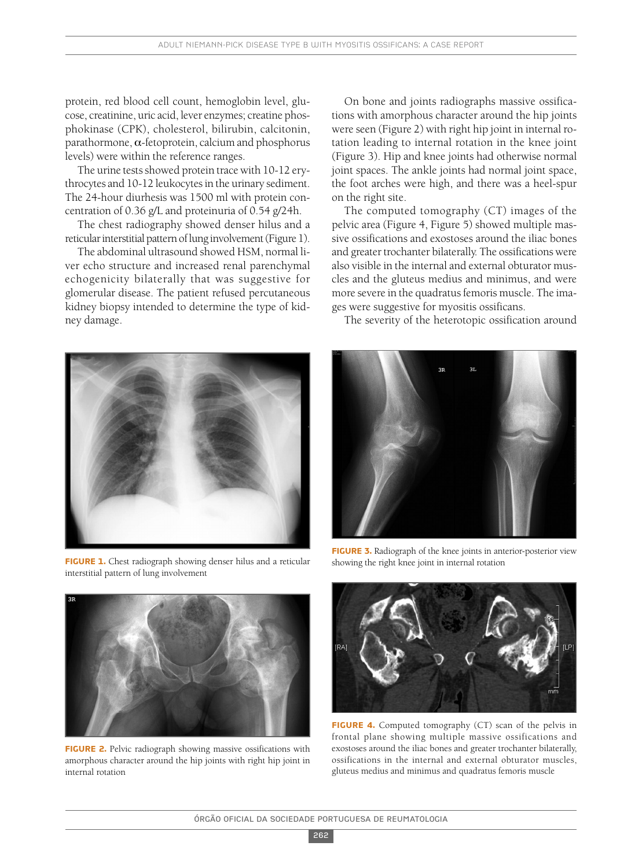protein, red blood cell count, hemoglobin level, glucose, creatinine, uric acid, lever enzymes; creatine phosphokinase (CPK), cholesterol, bilirubin, calcitonin, parathormone, α-fetoprotein, calcium and phosphorus levels) were within the reference ranges.

The urine tests showed protein trace with 10-12 erythrocytes and 10-12 leukocytes in the urinary sediment. The 24-hour diurhesis was 1500 ml with protein concentration of 0.36 g/L and proteinuria of 0.54 g/24h.

The chest radiography showed denser hilus and a reticular interstitial pattern of lung involvement (Figure 1).

The abdominal ultrasound showed HSM, normal liver echo structure and increased renal parenchymal echogenicity bilaterally that was suggestive for glomerular disease. The patient refused percutaneous kidney biopsy intended to determine the type of kidney damage.



**FIGURE 1.** Chest radiograph showing denser hilus and a reticular interstitial pattern of lung involvement



**FIGURE 2.** Pelvic radiograph showing massive ossifications with amorphous character around the hip joints with right hip joint in internal rotation

On bone and joints radiographs massive ossifications with amorphous character around the hip joints were seen (Figure 2) with right hip joint in internal rotation leading to internal rotation in the knee joint (Figure 3). Hip and knee joints had otherwise normal joint spaces. The ankle joints had normal joint space, the foot arches were high, and there was a heel-spur on the right site.

The computed tomography (CT) images of the pelvic area (Figure 4, Figure 5) showed multiple massive ossifications and exostoses around the iliac bones and greater trochanter bilaterally. The ossifications were also visible in the internal and external obturator muscles and the gluteus medius and minimus, and were more severe in the quadratus femoris muscle. The images were suggestive for myositis ossificans.

The severity of the heterotopic ossification around



**FIGURE 3.** Radiograph of the knee joints in anterior-posterior view showing the right knee joint in internal rotation



**FIGURE 4.** Computed tomography (CT) scan of the pelvis in frontal plane showing multiple massive ossifications and exostoses around the iliac bones and greater trochanter bilaterally, ossifications in the internal and external obturator muscles, gluteus medius and minimus and quadratus femoris muscle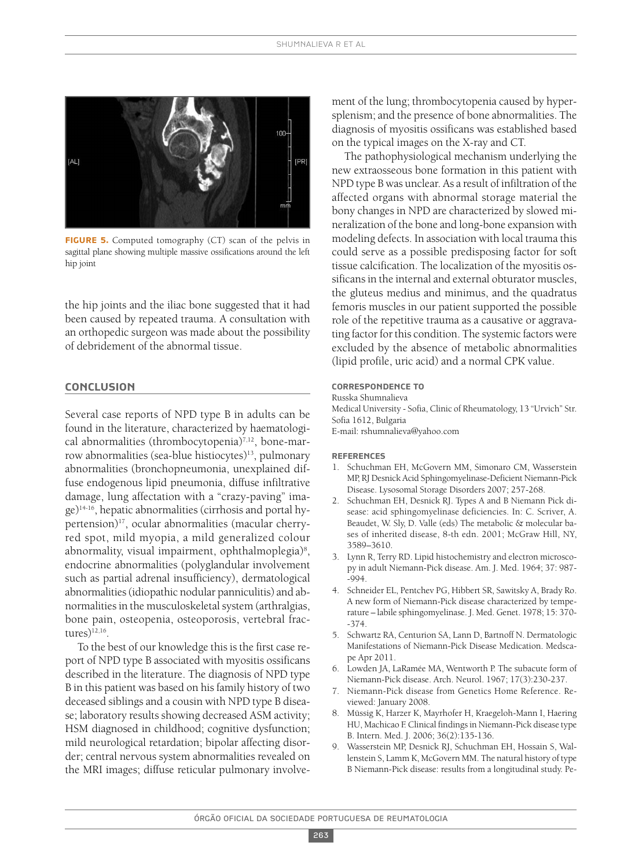

**FIGURE 5.** Computed tomography (CT) scan of the pelvis in sagittal plane showing multiple massive ossifications around the left hip joint

the hip joints and the iliac bone suggested that it had been caused by repeated trauma. A consultation with an orthopedic surgeon was made about the possibility of debridement of the abnormal tissue.

# **conclusIon**

Several case reports of NPD type B in adults can be found in the literature, characterized by haematological abnormalities (thrombocytopenia)7,12 , bone-marrow abnormalities (sea-blue histiocytes)<sup>13</sup>, pulmonary abnormalities (bronchopneumonia, unexplained diffuse endogenous lipid pneumonia, diffuse infiltrative damage, lung affectation with a "crazy-paving" image)14-16 , hepatic abnormalities (cirrhosis and portal hypertension)17 , ocular abnormalities (macular cherryred spot, mild myopia, a mild generalized colour abnormality, visual impairment, ophthalmoplegia)<sup>8</sup>, endocrine abnormalities (polyglandular involvement such as partial adrenal insufficiency), dermatological abnormalities(idiopathic nodular panniculitis) and abnormalities in the musculoskeletal system (arthralgias, bone pain, osteopenia, osteoporosis, vertebral fractures $)^{12,16}$ .

To the best of our knowledge this is the first case report of NPD type B associated with myositis ossificans described in the literature. The diagnosis of NPD type B in this patient was based on his family history of two deceased siblings and a cousin with NPD type B disease; laboratory results showing decreased ASM activity; HSM diagnosed in childhood; cognitive dysfunction; mild neurological retardation; bipolar affecting disorder; central nervous system abnormalities revealed on the MRI images; diffuse reticular pulmonary involvement of the lung; thrombocytopenia caused by hypersplenism; and the presence of bone abnormalities. The diagnosis of myositis ossificans was established based on the typical images on the X-ray and CT.

The pathophysiological mechanism underlying the new extraosseous bone formation in this patient with NPD type B was unclear. As a result of infiltration of the affected organs with abnormal storage material the bony changes in NPD are characterized by slowed mineralization of the bone and long-bone expansion with modeling defects. In association with local trauma this could serve as a possible predisposing factor for soft tissue calcification. The localization of the myositis ossificans in the internal and external obturator muscles, the gluteus medius and minimus, and the quadratus femoris muscles in our patient supported the possible role of the repetitive trauma as a causative or aggravating factor for this condition. The systemic factors were excluded by the absence of metabolic abnormalities (lipid profile, uric acid) and a normal CPK value.

# **correspondence to**

Russka Shumnalieva

Medical University - Sofia, Clinic of Rheumatology, 13 "Urvich" Str. Sofia 1612, Bulgaria

E-mail: rshumnalieva@yahoo.com

#### **reFerences**

- 1. Schuchman EH, McGovern MM, Simonaro CM, Wasserstein MP, RJ Desnick Acid Sphingomyelinase-Deficient Niemann-Pick Disease. Lysosomal Storage Disorders 2007; 257-268.
- 2. Schuchman EH, Desnick RJ. Types A and B Niemann Pick disease: acid sphingomyelinase deficiencies. In: C. Scriver, A. Beaudet, W. Sly, D. Valle (eds) The metabolic & molecular bases of inherited disease, 8-th edn. 2001; McGraw Hill, NY, 3589–3610.
- 3. Lynn R, Terry RD. Lipid histochemistry and electron microscopy in adult Niemann-Pick disease. Am. J. Med. 1964; 37: 987- -994.
- 4. Schneider EL, Pentchev PG, Hibbert SR, Sawitsky A, Brady Ro. A new form of Niemann-Pick disease characterized by temperature – labile sphingomyelinase. J. Med. Genet. 1978; 15: 370- -374.
- 5. Schwartz RA, Centurion SA, Lann D, Bartnoff N. Dermatologic Manifestations of Niemann-Pick Disease Medication. Medscape Apr 2011.
- 6. Lowden JA, LaRamée MA, Wentworth P. The subacute form of Niemann-Pick disease. Arch. Neurol. 1967; 17(3):230-237.
- 7. Niemann-Pick disease from Genetics Home Reference. Reviewed: January 2008.
- 8. Müssig K, Harzer K, Mayrhofer H, Kraegeloh-Mann I, Haering HU, Machicao F. Clinical findings in Niemann-Pick disease type B. Intern. Med. J. 2006; 36(2):135-136.
- 9. Wasserstein MP, Desnick RJ, Schuchman EH, Hossain S, Wallenstein S, Lamm K, McGovern MM. The natural history of type B Niemann-Pick disease: results from a longitudinal study. Pe-

263